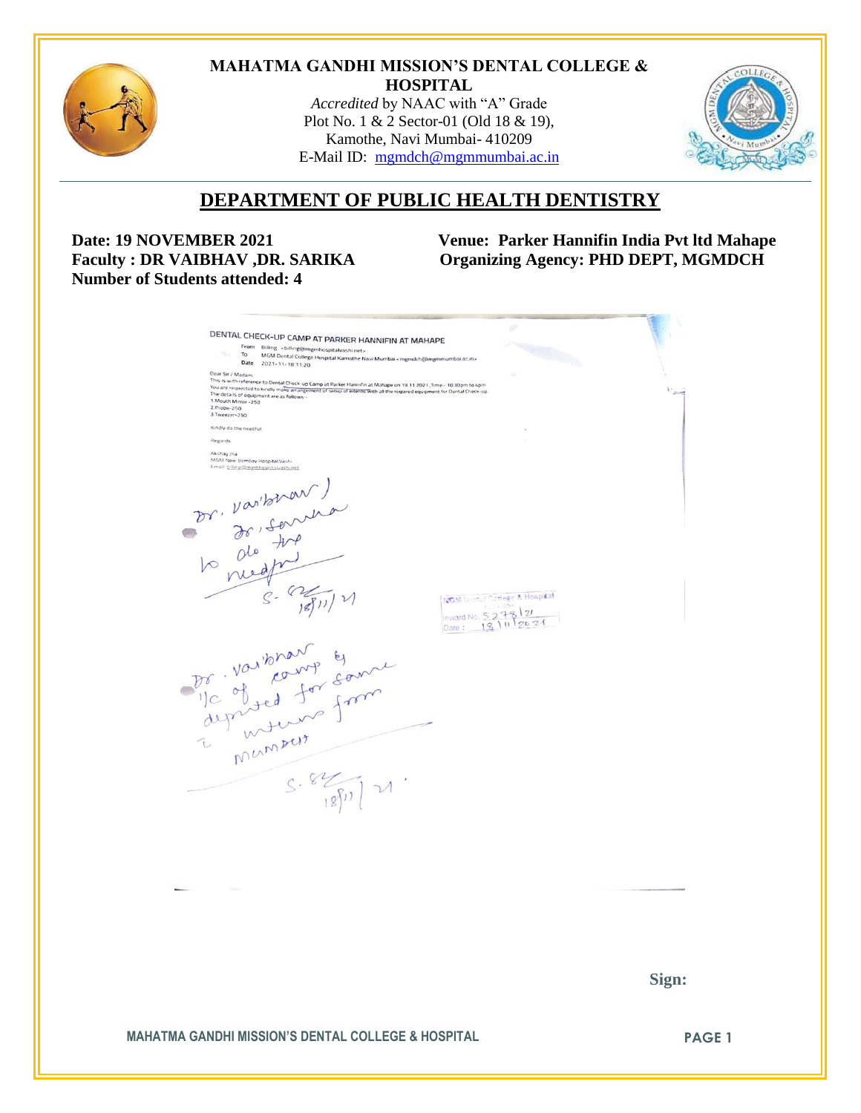

#### **MAHATMA GANDHI MISSION'S DENTAL COLLEGE & HOSPITAL**

*Accredited* by NAAC with "A" Grade Plot No. 1 & 2 Sector-01 (Old 18 & 19), Kamothe, Navi Mumbai- 410209 E-Mail ID: [mgmdch@mgmmumbai.ac.in](mailto:mgmdch@mgmmumbai.ac.in)



# **DEPARTMENT OF PUBLIC HEALTH DENTISTRY**

 **Number of Students attended: 4**

**Date: 19 NOVEMBER 2021** Venue: Parker Hannifin India Pvt ltd Mahape<br>Faculty : DR VAIBHAV ,DR. SARIKA Organizing Agency: PHD DEPT, MGMDCH  $O$ rganizing Agency: PHD DEPT, MGMDCH

|                                                                                     | DENTAL CHECK-UP CAMP AT PARKER HANNIFIN AT MAHAPE<br>From Billing chilling@mgmhospitalvashi.net><br>To MGM Dental College Hospital Kamothe Navi Mumbai <mgmdch@mgmmumbai.ac.in></mgmdch@mgmmumbai.ac.in>                                                                                                       |                                                     |       |
|-------------------------------------------------------------------------------------|----------------------------------------------------------------------------------------------------------------------------------------------------------------------------------------------------------------------------------------------------------------------------------------------------------------|-----------------------------------------------------|-------|
| Dear Sir / Madam,<br>1. Mouth Mirror - 250<br>2.Probe-250<br>3.Tweezer-250          | Date 2021-11-18 11:20<br>This is with reference to Dental Check-up Camp at Parker Hannifin at Mahape on 19.11.2021 Time - 10.30pm to 4pm<br>You are requested to kindly make arrangement of setup of interns with all the required equipment for Dental Check-up.<br>The details of equipment are as follows - | Sec.                                                |       |
| Kindly do the needful.<br>Regards                                                   |                                                                                                                                                                                                                                                                                                                |                                                     |       |
| Akshay Jha<br>MGM New Bombay Hospital, Vashi<br>Email: billing@mgmhospitalvashi.net |                                                                                                                                                                                                                                                                                                                |                                                     |       |
|                                                                                     | Dr. Varitonar)<br>Dr. Jo, Sorrera                                                                                                                                                                                                                                                                              |                                                     |       |
|                                                                                     |                                                                                                                                                                                                                                                                                                                | NGM Dental Catlege & Hospital<br>Inward No. 5278/21 |       |
|                                                                                     | Mansens 1 Manuel                                                                                                                                                                                                                                                                                               |                                                     |       |
|                                                                                     | S.827171                                                                                                                                                                                                                                                                                                       |                                                     |       |
|                                                                                     |                                                                                                                                                                                                                                                                                                                |                                                     |       |
|                                                                                     |                                                                                                                                                                                                                                                                                                                |                                                     |       |
|                                                                                     |                                                                                                                                                                                                                                                                                                                |                                                     |       |
|                                                                                     |                                                                                                                                                                                                                                                                                                                |                                                     | Sign: |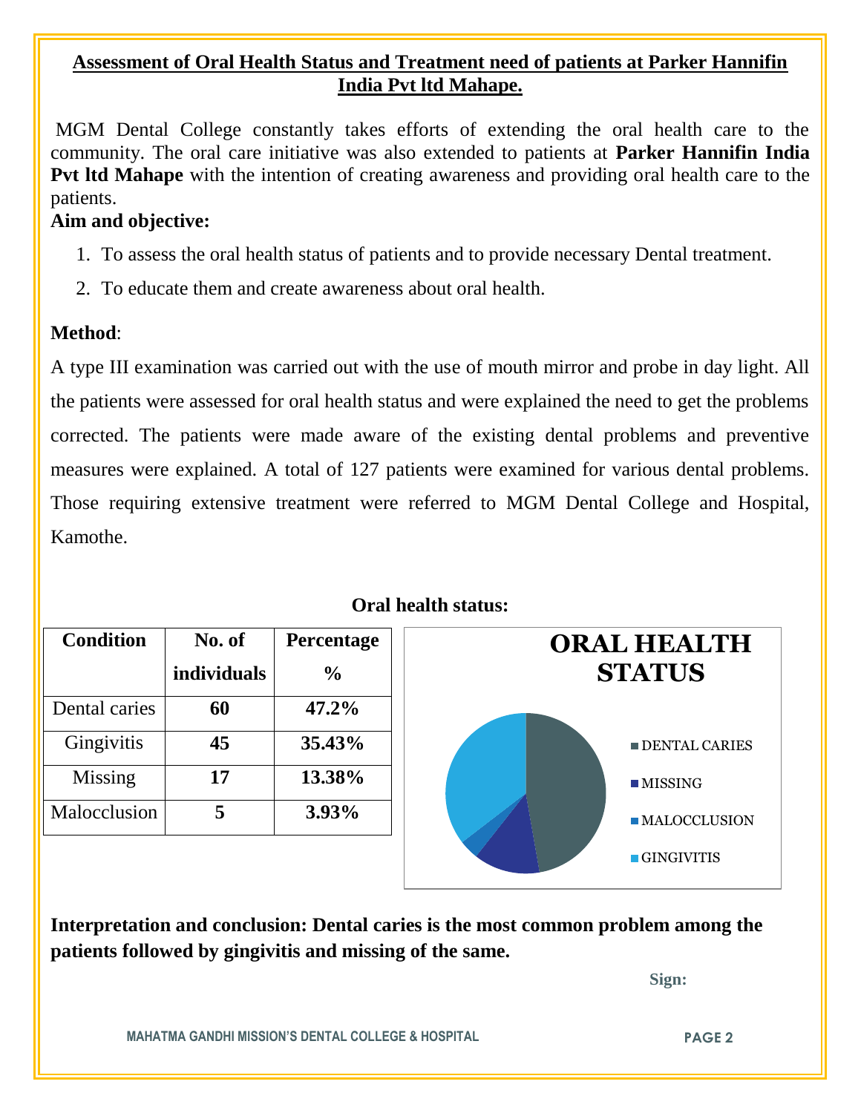## **Assessment of Oral Health Status and Treatment need of patients at Parker Hannifin India Pvt ltd Mahape.**

MGM Dental College constantly takes efforts of extending the oral health care to the community. The oral care initiative was also extended to patients at **Parker Hannifin India Pvt ltd Mahape** with the intention of creating awareness and providing oral health care to the patients.

### **Aim and objective:**

- 1. To assess the oral health status of patients and to provide necessary Dental treatment.
- 2. To educate them and create awareness about oral health.

# **Method**:

A type III examination was carried out with the use of mouth mirror and probe in day light. All the patients were assessed for oral health status and were explained the need to get the problems corrected. The patients were made aware of the existing dental problems and preventive measures were explained. A total of 127 patients were examined for various dental problems. Those requiring extensive treatment were referred to MGM Dental College and Hospital, Kamothe.

| <b>Condition</b> | No. of             | <b>Percentage</b> | <b>ORAL HEALTH</b>          |  |
|------------------|--------------------|-------------------|-----------------------------|--|
|                  | <i>individuals</i> | $\frac{0}{0}$     | <b>STATUS</b>               |  |
| Dental caries    | 60                 | $47.2\%$          |                             |  |
| Gingivitis       | 45                 | 35.43%            | DENTAL CARIES               |  |
| Missing          | 17                 | 13.38%            | $\blacksquare$ MISSING      |  |
| Malocclusion     | 5                  | 3.93%             | $\blacksquare$ MALOCCLUSION |  |
|                  |                    |                   | $\blacksquare$ GINGIVITIS   |  |

**Oral health status:**

**Interpretation and conclusion: Dental caries is the most common problem among the patients followed by gingivitis and missing of the same.** 

 **Sign:**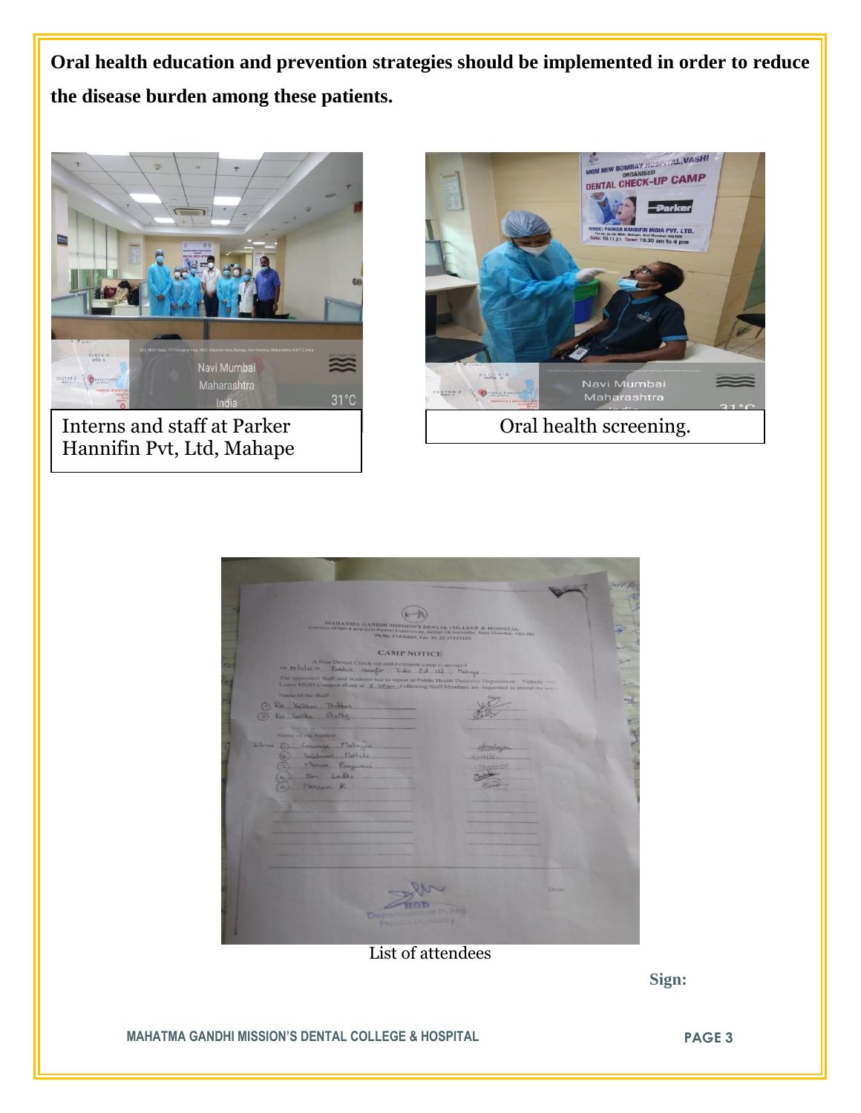**Oral health education and prevention strategies should be implemented in order to reduce the disease burden among these patients.**



Interns and staff at Parker Hannifin Pvt, Ltd, Mahape



| MAILATMA GANDHI MISSION'S DENTAL COLLEGE & HOSPITAL<br>sunction of NH-4 and Sion Panvel Expressivaly, Sector-18, Kamothe, Navi Mumbai- 410 209                                                                        |                |
|-----------------------------------------------------------------------------------------------------------------------------------------------------------------------------------------------------------------------|----------------|
| Ph No. 27436604, Fax: 91-22-27433185<br><b>CAMP NOTICE</b>                                                                                                                                                            |                |
| A Free Dental Check-up and treatment camp is arranged.<br>on 19 hilse as Poster Hessifin Tidio P.A. U.J., Mahops<br>The appointed Staff and students has to report at Public Health Dentistry Department Vehicle will |                |
| Lezve MGM Campus sharp at R.30 set (Following Staff Members are requested to attend the same<br>Name of the Staff                                                                                                     |                |
| 1 Dr. Village Thopper<br>Da Southe Stretter                                                                                                                                                                           |                |
| Name of the Student                                                                                                                                                                                                   |                |
| Interes (1)<br>Severage Melayan<br>Voichment Mechile<br>Moica Proguessi                                                                                                                                               | profision      |
| on Ladh<br>Mariam R.                                                                                                                                                                                                  |                |
|                                                                                                                                                                                                                       |                |
|                                                                                                                                                                                                                       |                |
|                                                                                                                                                                                                                       |                |
|                                                                                                                                                                                                                       |                |
|                                                                                                                                                                                                                       | <b>EXCHANG</b> |
| Department of P<br><b>Hodis Planning</b>                                                                                                                                                                              |                |
|                                                                                                                                                                                                                       |                |

List of attendees

 **Sign:**